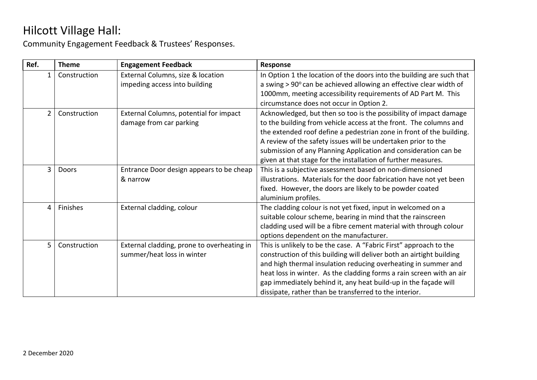| Ref.           | <b>Theme</b> | <b>Engagement Feedback</b>                 | Response                                                              |
|----------------|--------------|--------------------------------------------|-----------------------------------------------------------------------|
| 1              | Construction | External Columns, size & location          | In Option 1 the location of the doors into the building are such that |
|                |              | impeding access into building              | a swing > 90° can be achieved allowing an effective clear width of    |
|                |              |                                            | 1000mm, meeting accessibility requirements of AD Part M. This         |
|                |              |                                            | circumstance does not occur in Option 2.                              |
| $\overline{2}$ | Construction | External Columns, potential for impact     | Acknowledged, but then so too is the possibility of impact damage     |
|                |              | damage from car parking                    | to the building from vehicle access at the front. The columns and     |
|                |              |                                            | the extended roof define a pedestrian zone in front of the building.  |
|                |              |                                            | A review of the safety issues will be undertaken prior to the         |
|                |              |                                            | submission of any Planning Application and consideration can be       |
|                |              |                                            | given at that stage for the installation of further measures.         |
| $\overline{3}$ | Doors        | Entrance Door design appears to be cheap   | This is a subjective assessment based on non-dimensioned              |
|                |              | & narrow                                   | illustrations. Materials for the door fabrication have not yet been   |
|                |              |                                            | fixed. However, the doors are likely to be powder coated              |
|                |              |                                            | aluminium profiles.                                                   |
| 4              | Finishes     | External cladding, colour                  | The cladding colour is not yet fixed, input in welcomed on a          |
|                |              |                                            | suitable colour scheme, bearing in mind that the rainscreen           |
|                |              |                                            | cladding used will be a fibre cement material with through colour     |
|                |              |                                            | options dependent on the manufacturer.                                |
| 5              | Construction | External cladding, prone to overheating in | This is unlikely to be the case. A "Fabric First" approach to the     |
|                |              | summer/heat loss in winter                 | construction of this building will deliver both an airtight building  |
|                |              |                                            | and high thermal insulation reducing overheating in summer and        |
|                |              |                                            | heat loss in winter. As the cladding forms a rain screen with an air  |
|                |              |                                            | gap immediately behind it, any heat build-up in the façade will       |
|                |              |                                            | dissipate, rather than be transferred to the interior.                |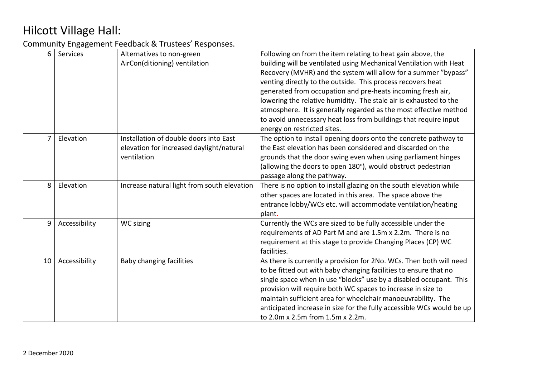| 6              | <b>Services</b> | Alternatives to non-green<br>AirCon(ditioning) ventilation                                        | Following on from the item relating to heat gain above, the<br>building will be ventilated using Mechanical Ventilation with Heat<br>Recovery (MVHR) and the system will allow for a summer "bypass"<br>venting directly to the outside. This process recovers heat<br>generated from occupation and pre-heats incoming fresh air,<br>lowering the relative humidity. The stale air is exhausted to the<br>atmosphere. It is generally regarded as the most effective method<br>to avoid unnecessary heat loss from buildings that require input<br>energy on restricted sites. |
|----------------|-----------------|---------------------------------------------------------------------------------------------------|---------------------------------------------------------------------------------------------------------------------------------------------------------------------------------------------------------------------------------------------------------------------------------------------------------------------------------------------------------------------------------------------------------------------------------------------------------------------------------------------------------------------------------------------------------------------------------|
| $\overline{7}$ | Elevation       | Installation of double doors into East<br>elevation for increased daylight/natural<br>ventilation | The option to install opening doors onto the concrete pathway to<br>the East elevation has been considered and discarded on the<br>grounds that the door swing even when using parliament hinges<br>(allowing the doors to open 180°), would obstruct pedestrian<br>passage along the pathway.                                                                                                                                                                                                                                                                                  |
| 8              | Elevation       | Increase natural light from south elevation                                                       | There is no option to install glazing on the south elevation while<br>other spaces are located in this area. The space above the<br>entrance lobby/WCs etc. will accommodate ventilation/heating<br>plant.                                                                                                                                                                                                                                                                                                                                                                      |
| 9              | Accessibility   | WC sizing                                                                                         | Currently the WCs are sized to be fully accessible under the<br>requirements of AD Part M and are 1.5m x 2.2m. There is no<br>requirement at this stage to provide Changing Places (CP) WC<br>facilities.                                                                                                                                                                                                                                                                                                                                                                       |
| 10             | Accessibility   | Baby changing facilities                                                                          | As there is currently a provision for 2No. WCs. Then both will need<br>to be fitted out with baby changing facilities to ensure that no<br>single space when in use "blocks" use by a disabled occupant. This<br>provision will require both WC spaces to increase in size to<br>maintain sufficient area for wheelchair manoeuvrability. The<br>anticipated increase in size for the fully accessible WCs would be up<br>to 2.0m x 2.5m from 1.5m x 2.2m.                                                                                                                      |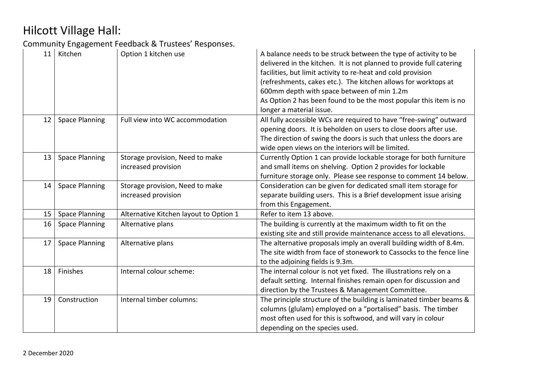| 11 | Kitchen               | Option 1 kitchen use                                   | A balance needs to be struck between the type of activity to be<br>delivered in the kitchen. It is not planned to provide full catering<br>facilities, but limit activity to re-heat and cold provision<br>(refreshments, cakes etc.). The kitchen allows for worktops at<br>600mm depth with space between of min 1.2m<br>As Option 2 has been found to be the most popular this item is no<br>longer a material issue. |
|----|-----------------------|--------------------------------------------------------|--------------------------------------------------------------------------------------------------------------------------------------------------------------------------------------------------------------------------------------------------------------------------------------------------------------------------------------------------------------------------------------------------------------------------|
| 12 | <b>Space Planning</b> | Full view into WC accommodation                        | All fully accessible WCs are required to have "free-swing" outward<br>opening doors. It is beholden on users to close doors after use.<br>The direction of swing the doors is such that unless the doors are<br>wide open views on the interiors will be limited.                                                                                                                                                        |
| 13 | <b>Space Planning</b> | Storage provision, Need to make<br>increased provision | Currently Option 1 can provide lockable storage for both furniture<br>and small items on shelving. Option 2 provides for lockable<br>furniture storage only. Please see response to comment 14 below.                                                                                                                                                                                                                    |
| 14 | <b>Space Planning</b> | Storage provision, Need to make<br>increased provision | Consideration can be given for dedicated small item storage for<br>separate building users. This is a Brief development issue arising<br>from this Engagement.                                                                                                                                                                                                                                                           |
| 15 | <b>Space Planning</b> | Alternative Kitchen layout to Option 1                 | Refer to item 13 above.                                                                                                                                                                                                                                                                                                                                                                                                  |
| 16 | <b>Space Planning</b> | Alternative plans                                      | The building is currently at the maximum width to fit on the<br>existing site and still provide maintenance access to all elevations.                                                                                                                                                                                                                                                                                    |
| 17 | <b>Space Planning</b> | Alternative plans                                      | The alternative proposals imply an overall building width of 8.4m.<br>The site width from face of stonework to Cassocks to the fence line<br>to the adjoining fields is 9.3m.                                                                                                                                                                                                                                            |
| 18 | Finishes              | Internal colour scheme:                                | The internal colour is not yet fixed. The illustrations rely on a<br>default setting. Internal finishes remain open for discussion and<br>direction by the Trustees & Management Committee.                                                                                                                                                                                                                              |
| 19 | Construction          | Internal timber columns:                               | The principle structure of the building is laminated timber beams &<br>columns (glulam) employed on a "portalised" basis. The timber<br>most often used for this is softwood, and will vary in colour<br>depending on the species used.                                                                                                                                                                                  |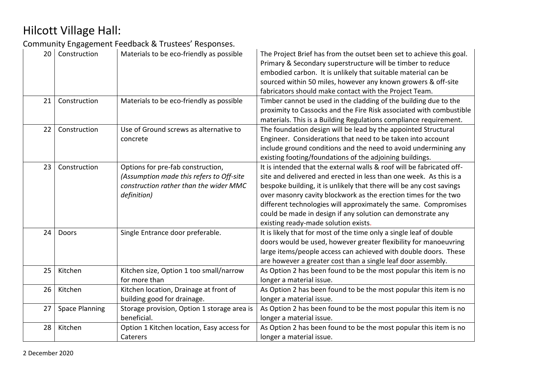| 20 | Construction          | Materials to be eco-friendly as possible                                                                                               | The Project Brief has from the outset been set to achieve this goal.<br>Primary & Secondary superstructure will be timber to reduce<br>embodied carbon. It is unlikely that suitable material can be<br>sourced within 50 miles, however any known growers & off-site<br>fabricators should make contact with the Project Team.                                                                                                                                  |
|----|-----------------------|----------------------------------------------------------------------------------------------------------------------------------------|------------------------------------------------------------------------------------------------------------------------------------------------------------------------------------------------------------------------------------------------------------------------------------------------------------------------------------------------------------------------------------------------------------------------------------------------------------------|
| 21 | Construction          | Materials to be eco-friendly as possible                                                                                               | Timber cannot be used in the cladding of the building due to the<br>proximity to Cassocks and the Fire Risk associated with combustible<br>materials. This is a Building Regulations compliance requirement.                                                                                                                                                                                                                                                     |
| 22 | Construction          | Use of Ground screws as alternative to<br>concrete                                                                                     | The foundation design will be lead by the appointed Structural<br>Engineer. Considerations that need to be taken into account<br>include ground conditions and the need to avoid undermining any<br>existing footing/foundations of the adjoining buildings.                                                                                                                                                                                                     |
| 23 | Construction          | Options for pre-fab construction,<br>(Assumption made this refers to Off-site<br>construction rather than the wider MMC<br>definition) | It is intended that the external walls & roof will be fabricated off-<br>site and delivered and erected in less than one week. As this is a<br>bespoke building, it is unlikely that there will be any cost savings<br>over masonry cavity blockwork as the erection times for the two<br>different technologies will approximately the same. Compromises<br>could be made in design if any solution can demonstrate any<br>existing ready-made solution exists. |
| 24 | Doors                 | Single Entrance door preferable.                                                                                                       | It is likely that for most of the time only a single leaf of double<br>doors would be used, however greater flexibility for manoeuvring<br>large items/people access can achieved with double doors. These<br>are however a greater cost than a single leaf door assembly.                                                                                                                                                                                       |
| 25 | Kitchen               | Kitchen size, Option 1 too small/narrow<br>for more than                                                                               | As Option 2 has been found to be the most popular this item is no<br>longer a material issue.                                                                                                                                                                                                                                                                                                                                                                    |
| 26 | Kitchen               | Kitchen location, Drainage at front of<br>building good for drainage.                                                                  | As Option 2 has been found to be the most popular this item is no<br>longer a material issue.                                                                                                                                                                                                                                                                                                                                                                    |
| 27 | <b>Space Planning</b> | Storage provision, Option 1 storage area is<br>beneficial.                                                                             | As Option 2 has been found to be the most popular this item is no<br>longer a material issue.                                                                                                                                                                                                                                                                                                                                                                    |
| 28 | Kitchen               | Option 1 Kitchen location, Easy access for<br>Caterers                                                                                 | As Option 2 has been found to be the most popular this item is no<br>longer a material issue.                                                                                                                                                                                                                                                                                                                                                                    |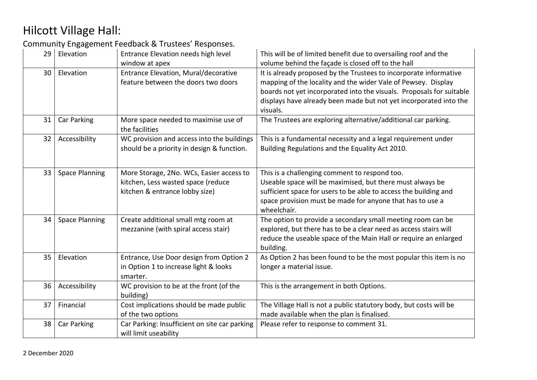| 29 | Elevation             | Entrance Elevation needs high level<br>window at apex                                                            | This will be of limited benefit due to oversailing roof and the<br>volume behind the façade is closed off to the hall                                                                                                                                                                       |
|----|-----------------------|------------------------------------------------------------------------------------------------------------------|---------------------------------------------------------------------------------------------------------------------------------------------------------------------------------------------------------------------------------------------------------------------------------------------|
| 30 | Elevation             | Entrance Elevation, Mural/decorative<br>feature between the doors two doors                                      | It is already proposed by the Trustees to incorporate informative<br>mapping of the locality and the wider Vale of Pewsey. Display<br>boards not yet incorporated into the visuals. Proposals for suitable<br>displays have already been made but not yet incorporated into the<br>visuals. |
| 31 | Car Parking           | More space needed to maximise use of<br>the facilities                                                           | The Trustees are exploring alternative/additional car parking.                                                                                                                                                                                                                              |
| 32 | Accessibility         | WC provision and access into the buildings<br>should be a priority in design & function.                         | This is a fundamental necessity and a legal requirement under<br>Building Regulations and the Equality Act 2010.                                                                                                                                                                            |
| 33 | <b>Space Planning</b> | More Storage, 2No. WCs, Easier access to<br>kitchen, Less wasted space (reduce<br>kitchen & entrance lobby size) | This is a challenging comment to respond too.<br>Useable space will be maximised, but there must always be<br>sufficient space for users to be able to access the building and<br>space provision must be made for anyone that has to use a<br>wheelchair.                                  |
| 34 | <b>Space Planning</b> | Create additional small mtg room at<br>mezzanine (with spiral access stair)                                      | The option to provide a secondary small meeting room can be<br>explored, but there has to be a clear need as access stairs will<br>reduce the useable space of the Main Hall or require an enlarged<br>building.                                                                            |
| 35 | Elevation             | Entrance, Use Door design from Option 2<br>in Option 1 to increase light & looks<br>smarter.                     | As Option 2 has been found to be the most popular this item is no<br>longer a material issue.                                                                                                                                                                                               |
| 36 | Accessibility         | WC provision to be at the front (of the<br>building)                                                             | This is the arrangement in both Options.                                                                                                                                                                                                                                                    |
| 37 | Financial             | Cost implications should be made public<br>of the two options                                                    | The Village Hall is not a public statutory body, but costs will be<br>made available when the plan is finalised.                                                                                                                                                                            |
| 38 | Car Parking           | Car Parking: Insufficient on site car parking<br>will limit useability                                           | Please refer to response to comment 31.                                                                                                                                                                                                                                                     |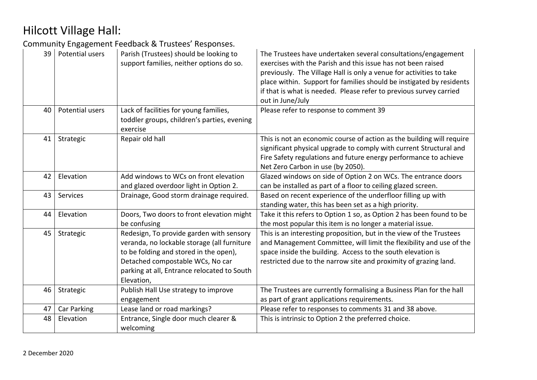| 39 | Potential users | Parish (Trustees) should be looking to<br>support families, neither options do so.                                                                                                                                                 | The Trustees have undertaken several consultations/engagement<br>exercises with the Parish and this issue has not been raised<br>previously. The Village Hall is only a venue for activities to take<br>place within. Support for families should be instigated by residents<br>if that is what is needed. Please refer to previous survey carried<br>out in June/July |  |
|----|-----------------|------------------------------------------------------------------------------------------------------------------------------------------------------------------------------------------------------------------------------------|------------------------------------------------------------------------------------------------------------------------------------------------------------------------------------------------------------------------------------------------------------------------------------------------------------------------------------------------------------------------|--|
| 40 | Potential users | Lack of facilities for young families,<br>toddler groups, children's parties, evening<br>exercise                                                                                                                                  | Please refer to response to comment 39                                                                                                                                                                                                                                                                                                                                 |  |
| 41 | Strategic       | Repair old hall                                                                                                                                                                                                                    | This is not an economic course of action as the building will require<br>significant physical upgrade to comply with current Structural and<br>Fire Safety regulations and future energy performance to achieve<br>Net Zero Carbon in use (by 2050).                                                                                                                   |  |
| 42 | Elevation       | Add windows to WCs on front elevation                                                                                                                                                                                              | Glazed windows on side of Option 2 on WCs. The entrance doors                                                                                                                                                                                                                                                                                                          |  |
|    |                 | and glazed overdoor light in Option 2.                                                                                                                                                                                             | can be installed as part of a floor to ceiling glazed screen.                                                                                                                                                                                                                                                                                                          |  |
| 43 | Services        | Drainage, Good storm drainage required.                                                                                                                                                                                            | Based on recent experience of the underfloor filling up with                                                                                                                                                                                                                                                                                                           |  |
|    |                 |                                                                                                                                                                                                                                    | standing water, this has been set as a high priority.                                                                                                                                                                                                                                                                                                                  |  |
| 44 | Elevation       | Doors, Two doors to front elevation might<br>be confusing                                                                                                                                                                          | Take it this refers to Option 1 so, as Option 2 has been found to be<br>the most popular this item is no longer a material issue.                                                                                                                                                                                                                                      |  |
| 45 | Strategic       | Redesign, To provide garden with sensory<br>veranda, no lockable storage (all furniture<br>to be folding and stored in the open),<br>Detached compostable WCs, No car<br>parking at all, Entrance relocated to South<br>Elevation, | This is an interesting proposition, but in the view of the Trustees<br>and Management Committee, will limit the flexibility and use of the<br>space inside the building. Access to the south elevation is<br>restricted due to the narrow site and proximity of grazing land.                                                                                          |  |
| 46 | Strategic       | Publish Hall Use strategy to improve                                                                                                                                                                                               | The Trustees are currently formalising a Business Plan for the hall                                                                                                                                                                                                                                                                                                    |  |
|    |                 | engagement                                                                                                                                                                                                                         | as part of grant applications requirements.                                                                                                                                                                                                                                                                                                                            |  |
| 47 | Car Parking     | Lease land or road markings?                                                                                                                                                                                                       | Please refer to responses to comments 31 and 38 above.                                                                                                                                                                                                                                                                                                                 |  |
| 48 | Elevation       | Entrance, Single door much clearer &                                                                                                                                                                                               | This is intrinsic to Option 2 the preferred choice.                                                                                                                                                                                                                                                                                                                    |  |
|    |                 | welcoming                                                                                                                                                                                                                          |                                                                                                                                                                                                                                                                                                                                                                        |  |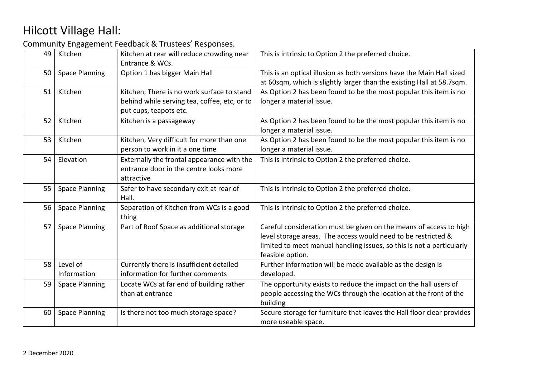| 49 | Kitchen                                                                                                                         | Kitchen at rear will reduce crowding near<br>Entrance & WCs.                                       | This is intrinsic to Option 2 the preferred choice.                                                                                                                                                                              |
|----|---------------------------------------------------------------------------------------------------------------------------------|----------------------------------------------------------------------------------------------------|----------------------------------------------------------------------------------------------------------------------------------------------------------------------------------------------------------------------------------|
| 50 | <b>Space Planning</b>                                                                                                           | Option 1 has bigger Main Hall                                                                      | This is an optical illusion as both versions have the Main Hall sized<br>at 60sqm, which is slightly larger than the existing Hall at 58.7sqm.                                                                                   |
| 51 | Kitchen, There is no work surface to stand<br>Kitchen<br>behind while serving tea, coffee, etc, or to<br>put cups, teapots etc. |                                                                                                    | As Option 2 has been found to be the most popular this item is no<br>longer a material issue.                                                                                                                                    |
| 52 | Kitchen                                                                                                                         | Kitchen is a passageway                                                                            | As Option 2 has been found to be the most popular this item is no<br>longer a material issue.                                                                                                                                    |
| 53 | Kitchen                                                                                                                         | Kitchen, Very difficult for more than one<br>person to work in it a one time                       | As Option 2 has been found to be the most popular this item is no<br>longer a material issue.                                                                                                                                    |
| 54 | Elevation                                                                                                                       | Externally the frontal appearance with the<br>entrance door in the centre looks more<br>attractive | This is intrinsic to Option 2 the preferred choice.                                                                                                                                                                              |
| 55 | <b>Space Planning</b>                                                                                                           | Safer to have secondary exit at rear of<br>Hall.                                                   | This is intrinsic to Option 2 the preferred choice.                                                                                                                                                                              |
| 56 | <b>Space Planning</b>                                                                                                           | Separation of Kitchen from WCs is a good<br>thing                                                  | This is intrinsic to Option 2 the preferred choice.                                                                                                                                                                              |
| 57 | <b>Space Planning</b>                                                                                                           | Part of Roof Space as additional storage                                                           | Careful consideration must be given on the means of access to high<br>level storage areas. The access would need to be restricted &<br>limited to meet manual handling issues, so this is not a particularly<br>feasible option. |
| 58 | Level of<br>Information                                                                                                         | Currently there is insufficient detailed<br>information for further comments                       | Further information will be made available as the design is<br>developed.                                                                                                                                                        |
| 59 | <b>Space Planning</b>                                                                                                           | Locate WCs at far end of building rather<br>than at entrance                                       | The opportunity exists to reduce the impact on the hall users of<br>people accessing the WCs through the location at the front of the<br>building                                                                                |
| 60 | <b>Space Planning</b>                                                                                                           | Is there not too much storage space?                                                               | Secure storage for furniture that leaves the Hall floor clear provides<br>more useable space.                                                                                                                                    |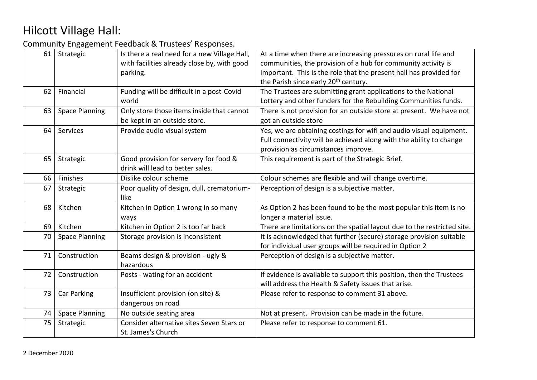| 61 | Strategic             | Is there a real need for a new Village Hall,<br>At a time when there are increasing pressures on rural life and<br>with facilities already close by, with good<br>communities, the provision of a hub for community activity is<br>important. This is the role that the present hall has provided for<br>parking.<br>the Parish since early 20 <sup>th</sup> century. |                                                                                                                                                                                   |
|----|-----------------------|-----------------------------------------------------------------------------------------------------------------------------------------------------------------------------------------------------------------------------------------------------------------------------------------------------------------------------------------------------------------------|-----------------------------------------------------------------------------------------------------------------------------------------------------------------------------------|
| 62 | Financial             | Funding will be difficult in a post-Covid<br>world                                                                                                                                                                                                                                                                                                                    | The Trustees are submitting grant applications to the National<br>Lottery and other funders for the Rebuilding Communities funds.                                                 |
| 63 | <b>Space Planning</b> | Only store those items inside that cannot<br>be kept in an outside store.                                                                                                                                                                                                                                                                                             | There is not provision for an outside store at present. We have not<br>got an outside store                                                                                       |
| 64 | Services              | Provide audio visual system                                                                                                                                                                                                                                                                                                                                           | Yes, we are obtaining costings for wifi and audio visual equipment.<br>Full connectivity will be achieved along with the ability to change<br>provision as circumstances improve. |
| 65 | Strategic             | Good provision for servery for food &<br>drink will lead to better sales.                                                                                                                                                                                                                                                                                             | This requirement is part of the Strategic Brief.                                                                                                                                  |
| 66 | Finishes              | Dislike colour scheme                                                                                                                                                                                                                                                                                                                                                 | Colour schemes are flexible and will change overtime.                                                                                                                             |
| 67 | Strategic             | Poor quality of design, dull, crematorium-<br>like                                                                                                                                                                                                                                                                                                                    | Perception of design is a subjective matter.                                                                                                                                      |
| 68 | Kitchen               | Kitchen in Option 1 wrong in so many<br>ways                                                                                                                                                                                                                                                                                                                          | As Option 2 has been found to be the most popular this item is no<br>longer a material issue.                                                                                     |
| 69 | Kitchen               | Kitchen in Option 2 is too far back                                                                                                                                                                                                                                                                                                                                   | There are limitations on the spatial layout due to the restricted site.                                                                                                           |
| 70 | <b>Space Planning</b> | Storage provision is inconsistent                                                                                                                                                                                                                                                                                                                                     | It is acknowledged that further (secure) storage provision suitable<br>for individual user groups will be required in Option 2                                                    |
| 71 | Construction          | Beams design & provision - ugly &<br>hazardous                                                                                                                                                                                                                                                                                                                        | Perception of design is a subjective matter.                                                                                                                                      |
| 72 | Construction          | Posts - wating for an accident                                                                                                                                                                                                                                                                                                                                        | If evidence is available to support this position, then the Trustees<br>will address the Health & Safety issues that arise.                                                       |
| 73 | Car Parking           | Insufficient provision (on site) &<br>dangerous on road                                                                                                                                                                                                                                                                                                               | Please refer to response to comment 31 above.                                                                                                                                     |
| 74 | <b>Space Planning</b> | No outside seating area                                                                                                                                                                                                                                                                                                                                               | Not at present. Provision can be made in the future.                                                                                                                              |
| 75 | Strategic             | Consider alternative sites Seven Stars or<br>St. James's Church                                                                                                                                                                                                                                                                                                       | Please refer to response to comment 61.                                                                                                                                           |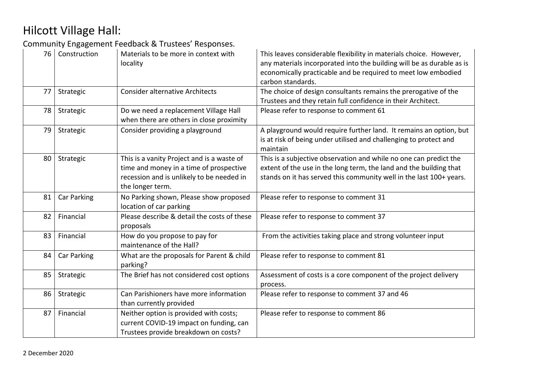| 76 | Construction                                 | Materials to be more in context with<br>locality                                                                                                       | This leaves considerable flexibility in materials choice. However,<br>any materials incorporated into the building will be as durable as is<br>economically practicable and be required to meet low embodied<br>carbon standards. |
|----|----------------------------------------------|--------------------------------------------------------------------------------------------------------------------------------------------------------|-----------------------------------------------------------------------------------------------------------------------------------------------------------------------------------------------------------------------------------|
| 77 | Strategic                                    | <b>Consider alternative Architects</b>                                                                                                                 | The choice of design consultants remains the prerogative of the<br>Trustees and they retain full confidence in their Architect.                                                                                                   |
| 78 | Strategic                                    | Do we need a replacement Village Hall<br>when there are others in close proximity                                                                      | Please refer to response to comment 61                                                                                                                                                                                            |
| 79 | Consider providing a playground<br>Strategic |                                                                                                                                                        | A playground would require further land. It remains an option, but<br>is at risk of being under utilised and challenging to protect and<br>maintain                                                                               |
| 80 | Strategic                                    | This is a vanity Project and is a waste of<br>time and money in a time of prospective<br>recession and is unlikely to be needed in<br>the longer term. | This is a subjective observation and while no one can predict the<br>extent of the use in the long term, the land and the building that<br>stands on it has served this community well in the last 100+ years.                    |
| 81 | Car Parking                                  | No Parking shown, Please show proposed<br>location of car parking                                                                                      | Please refer to response to comment 31                                                                                                                                                                                            |
| 82 | Financial                                    | Please describe & detail the costs of these<br>proposals                                                                                               | Please refer to response to comment 37                                                                                                                                                                                            |
| 83 | Financial                                    | How do you propose to pay for<br>maintenance of the Hall?                                                                                              | From the activities taking place and strong volunteer input                                                                                                                                                                       |
| 84 | Car Parking                                  | What are the proposals for Parent & child<br>Please refer to response to comment 81<br>parking?                                                        |                                                                                                                                                                                                                                   |
| 85 | Strategic                                    | The Brief has not considered cost options                                                                                                              | Assessment of costs is a core component of the project delivery<br>process.                                                                                                                                                       |
| 86 | Strategic                                    | Can Parishioners have more information<br>than currently provided                                                                                      | Please refer to response to comment 37 and 46                                                                                                                                                                                     |
| 87 | Financial                                    | Neither option is provided with costs;<br>current COVID-19 impact on funding, can<br>Trustees provide breakdown on costs?                              | Please refer to response to comment 86                                                                                                                                                                                            |